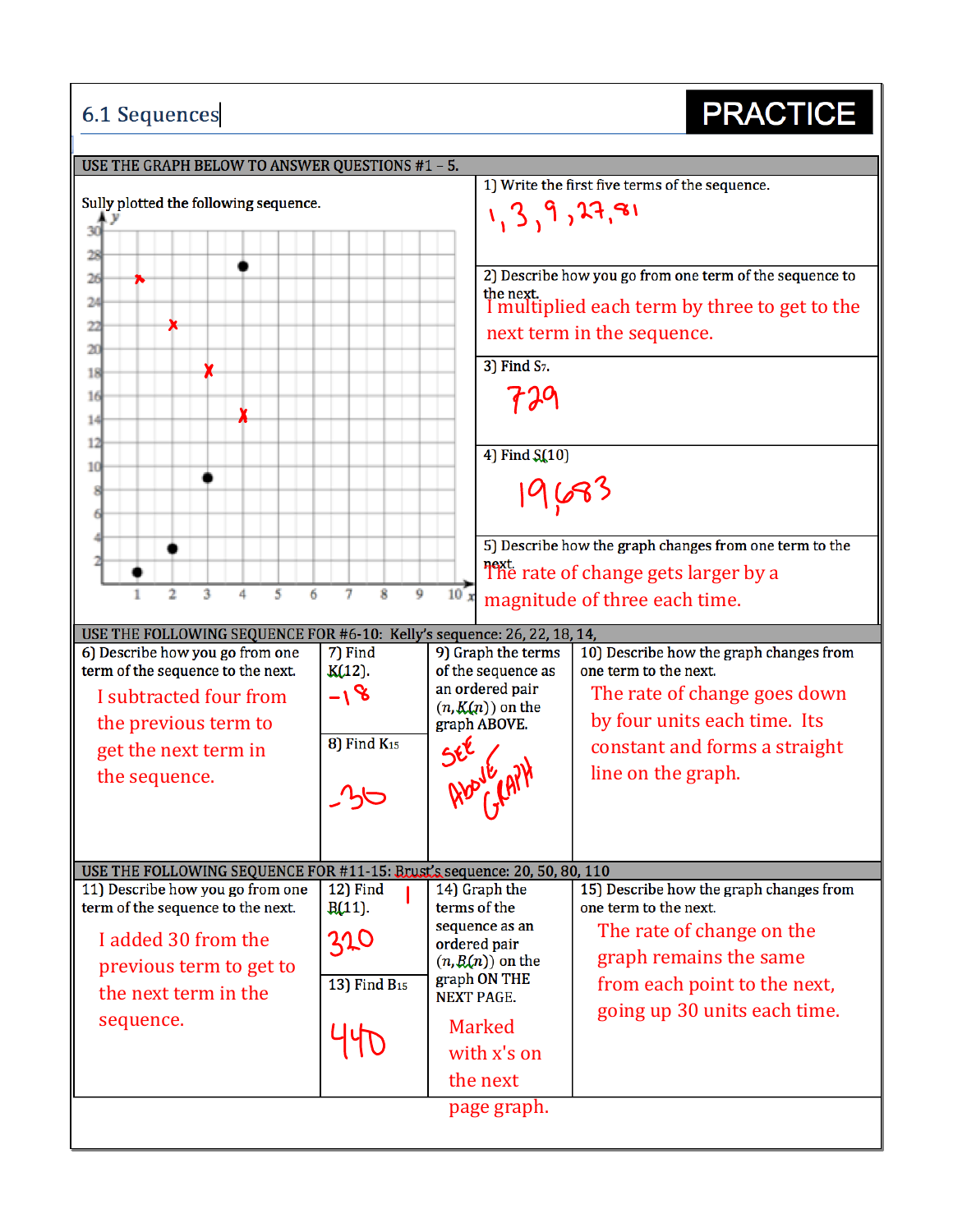## **6.1 Sequences**

## **PRACTICE**

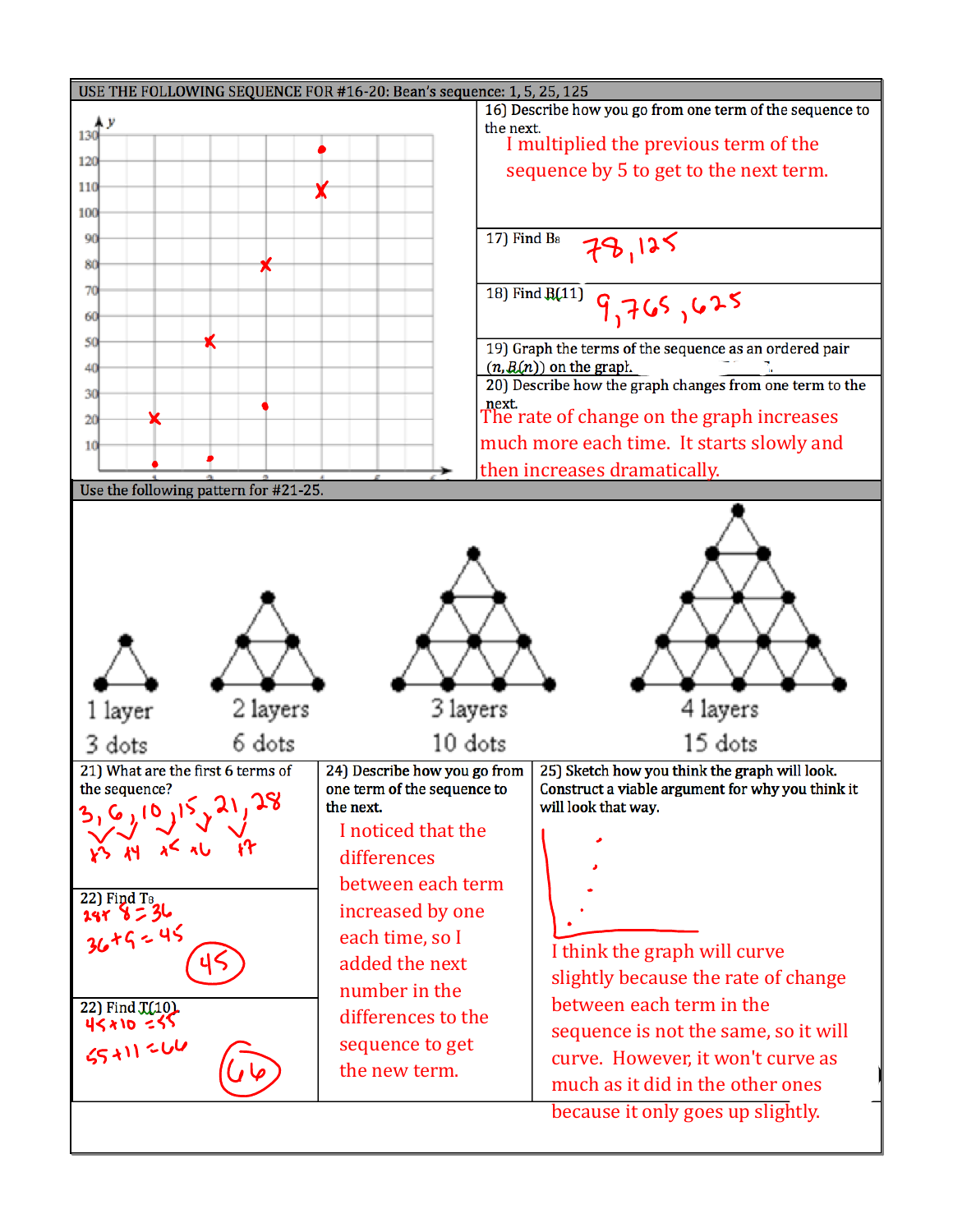